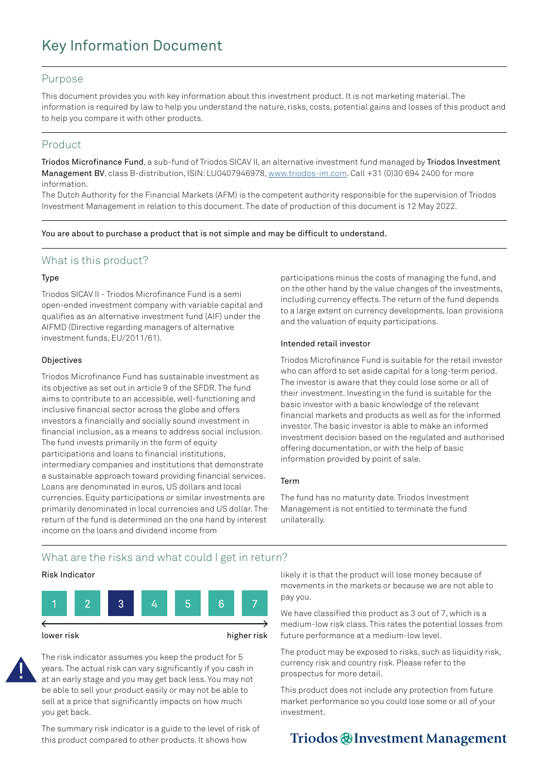# Key Information Document

#### Purpose

This document provides you with key information about this investment product. It is not marketing material. The information is required by law to help you understand the nature, risks, costs, potential gains and losses of this product and to help you compare it with other products.

### Product

Triodos Microfinance Fund, a sub-fund of Triodos SICAV II, an alternative investment fund managed by Triodos Investment Management BV, class B-distribution, ISIN: LU0407946978, [www.triodos-im.com](http://www.triodos-im.com). Call +31 (0)30 694 2400 for more information.

The Dutch Authority for the Financial Markets (AFM) is the competent authority responsible for the supervision of Triodos Investment Management in relation to this document. The date of production of this document is 12 May 2022.

You are about to purchase a product that is not simple and may be difficult to understand.

### What is this product?

#### Type

Triodos SICAV II - Triodos Microfinance Fund is a semi open-ended investment company with variable capital and qualifies as an alternative investment fund (AIF) under the AIFMD (Directive regarding managers of alternative investment funds, EU/2011/61).

#### **Objectives**

Triodos Microfinance Fund has sustainable investment as its objective as set out in article 9 of the SFDR. The fund aims to contribute to an accessible, well-functioning and inclusive financial sector across the globe and offers investors a financially and socially sound investment in financial inclusion, as a means to address social inclusion. The fund invests primarily in the form of equity participations and loans to financial institutions, intermediary companies and institutions that demonstrate a sustainable approach toward providing financial services. Loans are denominated in euros, US dollars and local currencies. Equity participations or similar investments are primarily denominated in local currencies and US dollar. The return of the fund is determined on the one hand by interest income on the loans and dividend income from

participations minus the costs of managing the fund, and on the other hand by the value changes of the investments, including currency effects. The return of the fund depends to a large extent on currency developments, loan provisions and the valuation of equity participations.

#### Intended retail investor

Triodos Microfinance Fund is suitable for the retail investor who can afford to set aside capital for a long-term period. The investor is aware that they could lose some or all of their investment. Investing in the fund is suitable for the basic investor with a basic knowledge of the relevant financial markets and products as well as for the informed investor. The basic investor is able to make an informed investment decision based on the regulated and authorised offering documentation, or with the help of basic information provided by point of sale.

#### Term

The fund has no maturity date. Triodos Investment Management is not entitled to terminate the fund unilaterally.

### What are the risks and what could I get in return?

#### Risk Indicator





The risk indicator assumes you keep the product for 5 years. The actual risk can vary significantly if you cash in at an early stage and you may get back less. You may not be able to sell your product easily or may not be able to sell at a price that significantly impacts on how much you get back.

The summary risk indicator is a guide to the level of risk of this product compared to other products. It shows how

likely it is that the product will lose money because of movements in the markets or because we are not able to pay you.

We have classified this product as 3 out of 7, which is a medium-low risk class. This rates the potential losses from future performance at a medium-low level.

The product may be exposed to risks, such as liquidity risk, currency risk and country risk. Please refer to the prospectus for more detail.

This product does not include any protection from future market performance so you could lose some or all of your investment.

## Triodos @ Investment Management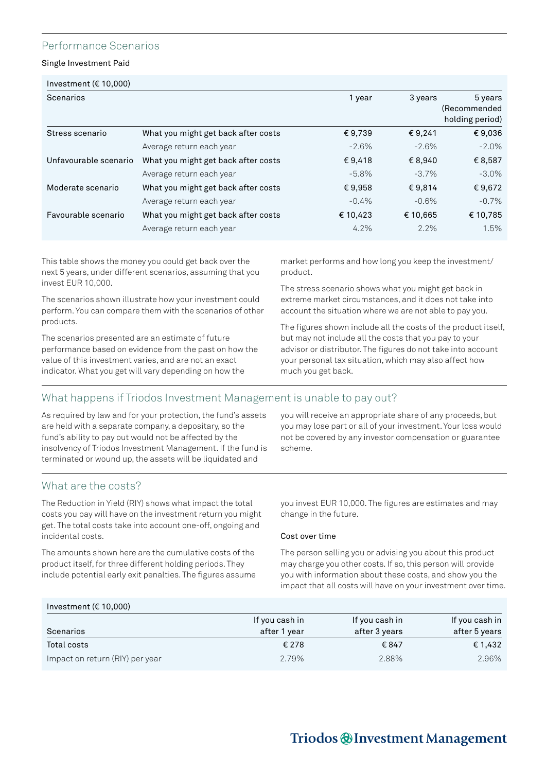### Performance Scenarios

Single Investment Paid

| Investment ( $\in$ 10,000) |                                     |          |          |                 |  |  |
|----------------------------|-------------------------------------|----------|----------|-----------------|--|--|
| Scenarios                  |                                     | 1 year   | 3 years  | 5 years         |  |  |
|                            |                                     |          |          | (Recommended    |  |  |
|                            |                                     |          |          | holding period) |  |  |
| Stress scenario            | What you might get back after costs | €9,739   | €9,241   | €9,036          |  |  |
|                            | Average return each year            | $-2.6%$  | $-2.6%$  | $-2.0\%$        |  |  |
| Unfavourable scenario      | What you might get back after costs | €9,418   | € 8,940  | € 8,587         |  |  |
|                            | Average return each year            | $-5.8\%$ | $-3.7\%$ | $-3.0\%$        |  |  |
| Moderate scenario          | What you might get back after costs | €9,958   | €9.814   | €9,672          |  |  |
|                            | Average return each year            | $-0.4%$  | $-0.6%$  | $-0.7\%$        |  |  |
| Favourable scenario        | What you might get back after costs | € 10,423 | € 10,665 | € 10,785        |  |  |
|                            | Average return each year            | 4.2%     | 2.2%     | 1.5%            |  |  |

This table shows the money you could get back over the next 5 years, under different scenarios, assuming that you invest EUR 10,000.

The scenarios shown illustrate how your investment could perform. You can compare them with the scenarios of other products.

The scenarios presented are an estimate of future performance based on evidence from the past on how the value of this investment varies, and are not an exact indicator. What you get will vary depending on how the

market performs and how long you keep the investment/ product.

The stress scenario shows what you might get back in extreme market circumstances, and it does not take into account the situation where we are not able to pay you.

The figures shown include all the costs of the product itself, but may not include all the costs that you pay to your advisor or distributor. The figures do not take into account your personal tax situation, which may also affect how much you get back.

### What happens if Triodos Investment Management is unable to pay out?

As required by law and for your protection, the fund's assets are held with a separate company, a depositary, so the fund's ability to pay out would not be affected by the insolvency of Triodos Investment Management. If the fund is terminated or wound up, the assets will be liquidated and

you will receive an appropriate share of any proceeds, but you may lose part or all of your investment. Your loss would not be covered by any investor compensation or guarantee scheme.

### What are the costs?

The Reduction in Yield (RIY) shows what impact the total costs you pay will have on the investment return you might get. The total costs take into account one-off, ongoing and incidental costs.

The amounts shown here are the cumulative costs of the product itself, for three different holding periods. They include potential early exit penalties. The figures assume you invest EUR 10,000. The figures are estimates and may change in the future.

#### Cost over time

The person selling you or advising you about this product may charge you other costs. If so, this person will provide you with information about these costs, and show you the impact that all costs will have on your investment over time.

### Investment (€ 10,000)

| Scenarios                       | If you cash in<br>after 1 year | If you cash in<br>after 3 years | If you cash in<br>after 5 years |
|---------------------------------|--------------------------------|---------------------------------|---------------------------------|
| Total costs                     | € 278                          | € 847                           | € 1.432                         |
| Impact on return (RIY) per year | 2.79%                          | 2.88%                           | 2.96%                           |